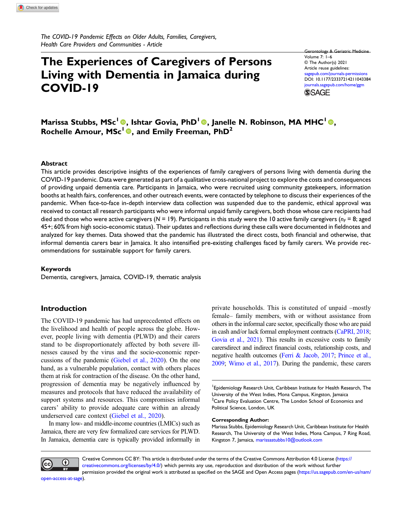The COVID-19 Pandemic Effects on Older Adults, Families, Caregivers, Health Care Providers and Communities - Article

# The Experiences of Caregivers of Persons Living with Dementia in Jamaica during COVID-19

Gerontology & Geriatric Medicine Volume 7: 1–6 © The Author(s) 2021 Article reuse guidelines: [sagepub.com/journals-permissions](https://us.sagepub.com/en-us/journals-permissions) DOI: [10.1177/23337214211043384](https://doi.org/10.1177/23337214211043384) [journals.sagepub.com/home/ggm](https://journals.sagepub.com/home/ggm) **SSAGE** 

Marissa Stubbs, MSc<sup>1</sup>®, Ishtar Govia, PhD<sup>1</sup>®, Janelle N. Robinson, MA MHC<sup>1</sup>®, Rochelle Amour, MSc<sup>1</sup><sup>®</sup>, and Emily Freeman, PhD<sup>2</sup>

#### Abstract

This article provides descriptive insights of the experiences of family caregivers of persons living with dementia during the COVID-19 pandemic. Data were generated as part of a qualitative cross-national project to explore the costs and consequences of providing unpaid dementia care. Participants in Jamaica, who were recruited using community gatekeepers, information booths at health fairs, conferences, and other outreach events, were contacted by telephone to discuss their experiences of the pandemic. When face-to-face in-depth interview data collection was suspended due to the pandemic, ethical approval was received to contact all research participants who were informal unpaid family caregivers, both those whose care recipients had died and those who were active caregivers ( $N = 19$ ). Participants in this study were the 10 active family caregivers ( $n_F = 8$ ; aged 45+; 60% from high socio-economic status). Their updates and reflections during these calls were documented in fieldnotes and analyzed for key themes. Data showed that the pandemic has illustrated the direct costs, both financial and otherwise, that informal dementia carers bear in Jamaica. It also intensified pre-existing challenges faced by family carers. We provide recommendations for sustainable support for family carers.

#### Keywords

Dementia, caregivers, Jamaica, COVID-19, thematic analysis

## Introduction

The COVID-19 pandemic has had unprecedented effects on the livelihood and health of people across the globe. However, people living with dementia (PLWD) and their carers stand to be disproportionately affected by both severe illnesses caused by the virus and the socio-economic repercussions of the pandemic [\(Giebel et al., 2020](#page-5-0)). On the one hand, as a vulnerable population, contact with others places them at risk for contraction of the disease. On the other hand, progression of dementia may be negatively influenced by measures and protocols that have reduced the availability of support systems and resources. This compromises informal carers' ability to provide adequate care within an already underserved care context ([Giebel et al., 2020](#page-5-1)).

In many low- and middle-income countries (LMICs) such as Jamaica, there are very few formalized care services for PLWD. In Jamaica, dementia care is typically provided informally in private households. This is constituted of unpaid –mostly female– family members, with or without assistance from others in the informal care sector, specifically those who are paid in cash and/or lack formal employment contracts [\(CaPRI, 2018](#page-5-2); [Govia et al., 2021\)](#page-5-3). This results in excessive costs to family carersdirect and indirect financial costs, relationship costs, and negative health outcomes ([Ferri & Jacob, 2017](#page-5-4); [Prince et al.,](#page-5-5) [2009](#page-5-5); [Wimo et al., 2017\)](#page-5-6). During the pandemic, these carers

<sup>1</sup> Epidemiology Research Unit, Caribbean Institute for Health Research, The University of the West Indies, Mona Campus, Kingston, Jamaica  $2$ Care Policy Evaluation Centre, The London School of Economics and Political Science, London, UK

#### Corresponding Author:

Marissa Stubbs, Epidemiology Research Unit, Caribbean Institute for Health Research, The University of the West Indies, Mona Campus, 7 Ring Road, Kingston 7, Jamaica, [marissastubbs10@outlook.com](mailto:marissastubbs10@outlook.com)



Creative Commons CC BY: This article is distributed under the terms of the Creative Commons Attribution 4.0 License ([https://](https://creativecommons.org/licenses/by/4.0/) [creativecommons.org/licenses/by/4.0/](https://creativecommons.org/licenses/by/4.0/)) which permits any use, reproduction and distribution of the work without further permission provided the original work is attributed as specified on the SAGE and Open Access pages [\(https://us.sagepub.com/en-us/nam/](https://us.sagepub.com/en-us/nam/open-access-at-sage)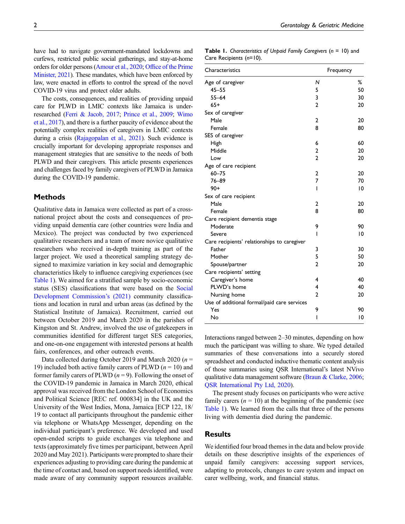have had to navigate government-mandated lockdowns and curfews, restricted public social gatherings, and stay-at-home orders for older persons [\(Amour et al., 2020](#page-5-7); Offi[ce of the Prime](#page-5-8) [Minister, 2021\)](#page-5-8). These mandates, which have been enforced by law, were enacted in efforts to control the spread of the novel COVID-19 virus and protect older adults.

The costs, consequences, and realities of providing unpaid care for PLWD in LMIC contexts like Jamaica is underresearched [\(Ferri & Jacob, 2017](#page-5-4); [Prince et al., 2009](#page-5-5); [Wimo](#page-5-6) [et al., 2017\)](#page-5-6), and there is a further paucity of evidence about the potentially complex realities of caregivers in LMIC contexts during a crisis ([Rajagopalan et al., 2021](#page-5-9)). Such evidence is crucially important for developing appropriate responses and management strategies that are sensitive to the needs of both PLWD and their caregivers. This article presents experiences and challenges faced by family caregivers of PLWD in Jamaica during the COVID-19 pandemic.

## **Methods**

Qualitative data in Jamaica were collected as part of a crossnational project about the costs and consequences of providing unpaid dementia care (other countries were India and Mexico). The project was conducted by two experienced qualitative researchers and a team of more novice qualitative researchers who received in-depth training as part of the larger project. We used a theoretical sampling strategy designed to maximize variation in key social and demographic characteristics likely to influence caregiving experiences (see [Table 1](#page-1-0)). We aimed for a stratified sample by socio-economic status (SES) classifications that were based on the [Social](#page-5-10) [Development Commission](#page-5-10)'s (2021) community classifications and location in rural and urban areas (as defined by the Statistical Institute of Jamaica). Recruitment, carried out between October 2019 and March 2020 in the parishes of Kingston and St. Andrew, involved the use of gatekeepers in communities identified for different target SES categories, and one-on-one engagement with interested persons at health fairs, conferences, and other outreach events.

Data collected during October 2019 and March 2020 ( $n =$ 19) included both active family carers of PLWD ( $n = 10$ ) and former family carers of PLWD  $(n = 9)$ . Following the onset of the COVID-19 pandemic in Jamaica in March 2020, ethical approval was received from the London School of Economics and Political Science [REC ref. 000834] in the UK and the University of the West Indies, Mona, Jamaica [ECP 122, 18/ 19 to contact all participants throughout the pandemic either via telephone or WhatsApp Messenger, depending on the individual participant's preference. We developed and used open-ended scripts to guide exchanges via telephone and texts (approximately five times per participant, between April 2020 and May 2021). Participants were prompted to share their experiences adjusting to providing care during the pandemic at the time of contact and, based on support needs identified, were made aware of any community support resources available.

<span id="page-1-0"></span>

| <b>Table 1.</b> Characteristics of Unpaid Family Caregivers (n = 10) and |  |  |  |
|--------------------------------------------------------------------------|--|--|--|
| Care Recipients (n=10).                                                  |  |  |  |

| Characteristics                             |                | Frequency |  |  |
|---------------------------------------------|----------------|-----------|--|--|
| Age of caregiver                            | N              | ℅         |  |  |
| $45 - 55$                                   | 5              | 50        |  |  |
| $55 - 64$                                   | 3              | 30        |  |  |
| $65+$                                       | $\overline{2}$ | 20        |  |  |
| Sex of caregiver                            |                |           |  |  |
| Male                                        | $\overline{2}$ | 20        |  |  |
| Female                                      | 8              | 80        |  |  |
| SES of caregiver                            |                |           |  |  |
| High                                        | 6              | 60        |  |  |
| Middle                                      | 2              | 20        |  |  |
| Low                                         | $\overline{2}$ | 20        |  |  |
| Age of care recipient                       |                |           |  |  |
| $60 - 75$                                   | $\overline{2}$ | 20        |  |  |
| $76 - 89$                                   | $\overline{7}$ | 70        |  |  |
| $90+$                                       | ı              | 10        |  |  |
| Sex of care recipient                       |                |           |  |  |
| Male                                        | $\overline{2}$ | 20        |  |  |
| Female                                      | 8              | 80        |  |  |
| Care recipient dementia stage               |                |           |  |  |
| Moderate                                    | 9              | 90        |  |  |
| Severe                                      | ı              | 10        |  |  |
| Care recipients' relationships to caregiver |                |           |  |  |
| Father                                      | 3              | 30        |  |  |
| Mother                                      | 5              | 50        |  |  |
| Spouse/partner                              | $\overline{2}$ | 20        |  |  |
| Care recipients' setting                    |                |           |  |  |
| Caregiver's home                            | 4              | 40        |  |  |
| PLWD's home                                 | 4              | 40        |  |  |
| Nursing home                                | $\overline{2}$ | 20        |  |  |
| Use of additional formal/paid care services |                |           |  |  |
| Yes                                         | 9              | 90        |  |  |
| No                                          | I              | 10        |  |  |

Interactions ranged between 2–30 minutes, depending on how much the participant was willing to share. We typed detailed summaries of these conversations into a securely stored spreadsheet and conducted inductive thematic content analysis of those summaries using QSR International's latest NVivo qualitative data management software [\(Braun & Clarke, 2006;](#page-5-11) [QSR International Pty Ltd, 2020](#page-5-12)).

The present study focuses on participants who were active family carers  $(n = 10)$  at the beginning of the pandemic (see [Table 1](#page-1-0)). We learned from the calls that three of the persons living with dementia died during the pandemic.

## **Results**

We identified four broad themes in the data and below provide details on these descriptive insights of the experiences of unpaid family caregivers: accessing support services, adapting to protocols, changes to care system and impact on carer wellbeing, work, and financial status.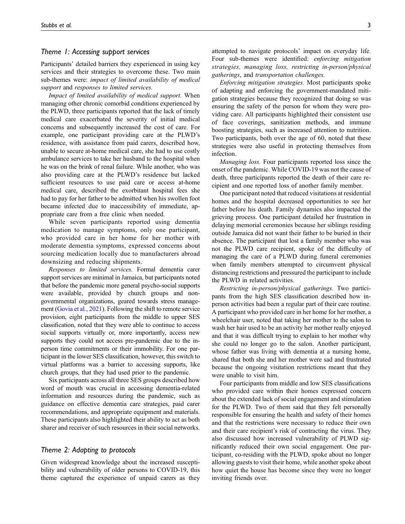## Theme 1: Accessing support services

Participants' detailed barriers they experienced in using key services and their strategies to overcome these. Two main sub-themes were: impact of limited availability of medical support and responses to limited services.

Impact of limited availability of medical support. When managing other chronic comorbid conditions experienced by the PLWD, three participants reported that the lack of timely medical care exacerbated the severity of initial medical concerns and subsequently increased the cost of care. For example, one participant providing care at the PLWD's residence, with assistance from paid carers, described how, unable to secure at-home medical care, she had to use costly ambulance services to take her husband to the hospital when he was on the brink of renal failure. While another, who was also providing care at the PLWD's residence but lacked sufficient resources to use paid care or access at-home medical care, described the exorbitant hospital fees she had to pay for her father to be admitted when his swollen foot became infected due to inaccessibility of immediate, appropriate care from a free clinic when needed.

While seven participants reported using dementia medication to manage symptoms, only one participant, who provided care in her home for her mother with moderate dementia symptoms, expressed concerns about sourcing medication locally due to manufacturers abroad downsizing and reducing shipments.

Responses to limited services. Formal dementia carer support services are minimal in Jamaica, but participants noted that before the pandemic more general psycho-social supports were available, provided by church groups and nongovernmental organizations, geared towards stress management [\(Govia et al., 2021](#page-5-3)). Following the shift to remote service provision, eight participants from the middle to upper SES classification, noted that they were able to continue to access social supports virtually or, more importantly, access new supports they could not access pre-pandemic due to the inperson time commitments or their immobility. For one participant in the lower SES classification, however, this switch to virtual platforms was a barrier to accessing supports, like church groups, that they had used prior to the pandemic.

Six participants across all three SES groups described how word of mouth was crucial in accessing dementia-related information and resources during the pandemic, such as guidance on effective dementia care strategies, paid carer recommendations, and appropriate equipment and materials. These participants also highlighted their ability to act as both sharer and receiver of such resources in their social networks.

#### Theme 2: Adapting to protocols

Given widespread knowledge about the increased susceptibility and vulnerability of older persons to COVID-19, this theme captured the experience of unpaid carers as they

attempted to navigate protocols' impact on everyday life. Four sub-themes were identified: enforcing mitigation strategies, managing loss, restricting in-person/physical gatherings, and transportation challenges.

Enforcing mitigation strategies. Most participants spoke of adapting and enforcing the government-mandated mitigation strategies because they recognized that doing so was ensuring the safety of the person for whom they were providing care. All participants highlighted their consistent use of face coverings, sanitization methods, and immune boosting strategies, such as increased attention to nutrition. Two participants, both over the age of 60, noted that these strategies were also useful in protecting themselves from infection.

Managing loss. Four participants reported loss since the onset of the pandemic. While COVID-19 was not the cause of death, three participants reported the death of their care recipient and one reported loss of another family member.

One participant noted that reduced visitations at residential homes and the hospital decreased opportunities to see her father before his death. Family dynamics also impacted the grieving process. One participant detailed her frustration in delaying memorial ceremonies because her siblings residing outside Jamaica did not want their father to be buried in their absence. The participant that lost a family member who was not the PLWD care recipient, spoke of the difficulty of managing the care of a PLWD during funeral ceremonies when family members attempted to circumvent physical distancing restrictions and pressured the participant to include the PLWD in related activities.

Restricting in-person/physical gatherings. Two participants from the high SES classification described how inperson activities had been a regular part of their care routine. A participant who provided care in her home for her mother, a wheelchair user, noted that taking her mother to the salon to wash her hair used to be an activity her mother really enjoyed and that it was difficult trying to explain to her mother why she could no longer go to the salon. Another participant, whose father was living with dementia at a nursing home, shared that both she and her mother were sad and frustrated because the ongoing visitation restrictions meant that they were unable to visit him.

Four participants from middle and low SES classifications who provided care within their homes expressed concern about the extended lack of social engagement and stimulation for the PLWD. Two of them said that they felt personally responsible for ensuring the health and safety of their homes and that the restrictions were necessary to reduce their own and their care recipient's risk of contracting the virus. They also discussed how increased vulnerability of PLWD significantly reduced their own social engagement. One participant, co-residing with the PLWD, spoke about no longer allowing guests to visit their home, while another spoke about how quiet the house has become since they were no longer inviting friends over.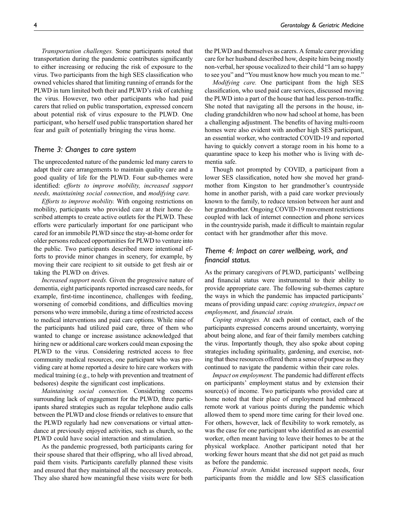Transportation challenges. Some participants noted that transportation during the pandemic contributes significantly to either increasing or reducing the risk of exposure to the virus. Two participants from the high SES classification who owned vehicles shared that limiting running of errands for the PLWD in turn limited both their and PLWD's risk of catching the virus. However, two other participants who had paid carers that relied on public transportation, expressed concern about potential risk of virus exposure to the PLWD. One participant, who herself used public transportation shared her fear and guilt of potentially bringing the virus home.

## Theme 3: Changes to care system

The unprecedented nature of the pandemic led many carers to adapt their care arrangements to maintain quality care and a good quality of life for the PLWD. Four sub-themes were identified: efforts to improve mobility, increased support needs, maintaining social connection, and modifying care.

Efforts to improve mobility. With ongoing restrictions on mobility, participants who provided care at their home described attempts to create active outlets for the PLWD. These efforts were particularly important for one participant who cared for an immobile PLWD since the stay-at-home order for older persons reduced opportunities for PLWD to venture into the public. Two participants described more intentional efforts to provide minor changes in scenery, for example, by moving their care recipient to sit outside to get fresh air or taking the PLWD on drives.

Increased support needs. Given the progressive nature of dementia, eight participants reported increased care needs, for example, first-time incontinence, challenges with feeding, worsening of comorbid conditions, and difficulties moving persons who were immobile, during a time of restricted access to medical interventions and paid care options. While nine of the participants had utilized paid care, three of them who wanted to change or increase assistance acknowledged that hiring new or additional care workers could mean exposing the PLWD to the virus. Considering restricted access to free community medical resources, one participant who was providing care at home reported a desire to hire care workers with medical training (e.g., to help with prevention and treatment of bedsores) despite the significant cost implications.

Maintaining social connection. Considering concerns surrounding lack of engagement for the PLWD, three participants shared strategies such as regular telephone audio calls between the PLWD and close friends or relatives to ensure that the PLWD regularly had new conversations or virtual attendance at previously enjoyed activities, such as church, so the PLWD could have social interaction and stimulation.

As the pandemic progressed, both participants caring for their spouse shared that their offspring, who all lived abroad, paid them visits. Participants carefully planned these visits and ensured that they maintained all the necessary protocols. They also shared how meaningful these visits were for both the PLWD and themselves as carers. A female carer providing care for her husband described how, despite him being mostly non-verbal, her spouse vocalized to their child "I am so happy to see you" and "You must know how much you mean to me."

Modifying care. One participant from the high SES classification, who used paid care services, discussed moving the PLWD into a part of the house that had less person-traffic. She noted that navigating all the persons in the house, including grandchildren who now had school at home, has been a challenging adjustment. The benefits of having multi-room homes were also evident with another high SES participant, an essential worker, who contracted COVID-19 and reported having to quickly convert a storage room in his home to a quarantine space to keep his mother who is living with dementia safe.

Though not prompted by COVID, a participant from a lower SES classification, noted how she moved her grandmother from Kingston to her grandmother's countryside home in another parish, with a paid care worker previously known to the family, to reduce tension between her aunt and her grandmother. Ongoing COVID-19 movement restrictions coupled with lack of internet connection and phone services in the countryside parish, made it difficult to maintain regular contact with her grandmother after this move.

## Theme 4: Impact on carer wellbeing, work, and financial status.

As the primary caregivers of PLWD, participants' wellbeing and financial status were instrumental to their ability to provide appropriate care. The following sub-themes capture the ways in which the pandemic has impacted participants' means of providing unpaid care: coping strategies, impact on employment, and financial strain.

Coping strategies. At each point of contact, each of the participants expressed concerns around uncertainty, worrying about being alone, and fear of their family members catching the virus. Importantly though, they also spoke about coping strategies including spirituality, gardening, and exercise, noting that these resources offered them a sense of purpose as they continued to navigate the pandemic within their care roles.

Impact on employment. The pandemic had different effects on participants' employment status and by extension their source(s) of income. Two participants who provided care at home noted that their place of employment had embraced remote work at various points during the pandemic which allowed them to spend more time caring for their loved one. For others, however, lack of flexibility to work remotely, as was the case for one participant who identified as an essential worker, often meant having to leave their homes to be at the physical workplace. Another participant noted that her working fewer hours meant that she did not get paid as much as before the pandemic.

Financial strain. Amidst increased support needs, four participants from the middle and low SES classification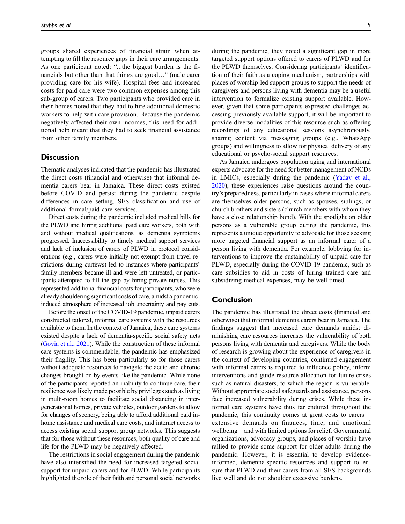groups shared experiences of financial strain when attempting to fill the resource gaps in their care arrangements. As one participant noted: "...the biggest burden is the financials but other than that things are good…" (male carer providing care for his wife). Hospital fees and increased costs for paid care were two common expenses among this sub-group of carers. Two participants who provided care in their homes noted that they had to hire additional domestic workers to help with care provision. Because the pandemic negatively affected their own incomes, this need for additional help meant that they had to seek financial assistance from other family members.

## **Discussion**

Thematic analyses indicated that the pandemic has illustrated the direct costs (financial and otherwise) that informal dementia carers bear in Jamaica. These direct costs existed before COVID and persist during the pandemic despite differences in care setting, SES classification and use of additional formal/paid care services.

Direct costs during the pandemic included medical bills for the PLWD and hiring additional paid care workers, both with and without medical qualifications, as dementia symptoms progressed. Inaccessibility to timely medical support services and lack of inclusion of carers of PLWD in protocol considerations (e.g., carers were initially not exempt from travel restrictions during curfews) led to instances where participants' family members became ill and were left untreated, or participants attempted to fill the gap by hiring private nurses. This represented additional financial costs for participants, who were already shouldering significant costs of care, amidst a pandemicinduced atmosphere of increased job uncertainty and pay cuts.

Before the onset of the COVID-19 pandemic, unpaid carers constructed tailored, informal care systems with the resources available to them. In the context of Jamaica, these care systems existed despite a lack of dementia-specific social safety nets [\(Govia et al., 2021](#page-5-3)). While the construction of these informal care systems is commendable, the pandemic has emphasized their fragility. This has been particularly so for those carers without adequate resources to navigate the acute and chronic changes brought on by events like the pandemic. While none of the participants reported an inability to continue care, their resilience was likely made possible by privileges such as living in multi-room homes to facilitate social distancing in intergenerational homes, private vehicles, outdoor gardens to allow for changes of scenery, being able to afford additional paid inhome assistance and medical care costs, and internet access to access existing social support group networks. This suggests that for those without these resources, both quality of care and life for the PLWD may be negatively affected.

The restrictions in social engagement during the pandemic have also intensified the need for increased targeted social support for unpaid carers and for PLWD. While participants highlighted the role of their faith and personal social networks during the pandemic, they noted a significant gap in more targeted support options offered to carers of PLWD and for the PLWD themselves. Considering participants' identification of their faith as a coping mechanism, partnerships with places of worship-led support groups to support the needs of caregivers and persons living with dementia may be a useful intervention to formalize existing support available. However, given that some participants expressed challenges accessing previously available support, it will be important to provide diverse modalities of this resource such as offering recordings of any educational sessions asynchronously, sharing content via messaging groups (e.g., WhatsApp groups) and willingness to allow for physical delivery of any educational or psycho-social support resources.

As Jamaica undergoes population aging and international experts advocate for the need for better management of NCDs in LMICs, especially during the pandemic [\(Yadav et al.,](#page-5-13) [2020](#page-5-13)), these experiences raise questions around the country's preparedness, particularly in cases where informal carers are themselves older persons, such as spouses, siblings, or church brothers and sisters (church members with whom they have a close relationship bond). With the spotlight on older persons as a vulnerable group during the pandemic, this represents a unique opportunity to advocate for those seeking more targeted financial support as an informal carer of a person living with dementia. For example, lobbying for interventions to improve the sustainability of unpaid care for PLWD, especially during the COVID-19 pandemic, such as care subsidies to aid in costs of hiring trained care and subsidizing medical expenses, may be well-timed.

## Conclusion

The pandemic has illustrated the direct costs (financial and otherwise) that informal dementia carers bear in Jamaica. The findings suggest that increased care demands amidst diminishing care resources increases the vulnerability of both persons living with dementia and caregivers. While the body of research is growing about the experience of caregivers in the context of developing countries, continued engagement with informal carers is required to influence policy, inform interventions and guide resource allocation for future crises such as natural disasters, to which the region is vulnerable. Without appropriate social safeguards and assistance, persons face increased vulnerability during crises. While these informal care systems have thus far endured throughout the pandemic, this continuity comes at great costs to carers extensive demands on finances, time, and emotional wellbeing—and with limited options for relief. Governmental organizations, advocacy groups, and places of worship have rallied to provide some support for older adults during the pandemic. However, it is essential to develop evidenceinformed, dementia-specific resources and support to ensure that PLWD and their carers from all SES backgrounds live well and do not shoulder excessive burdens.